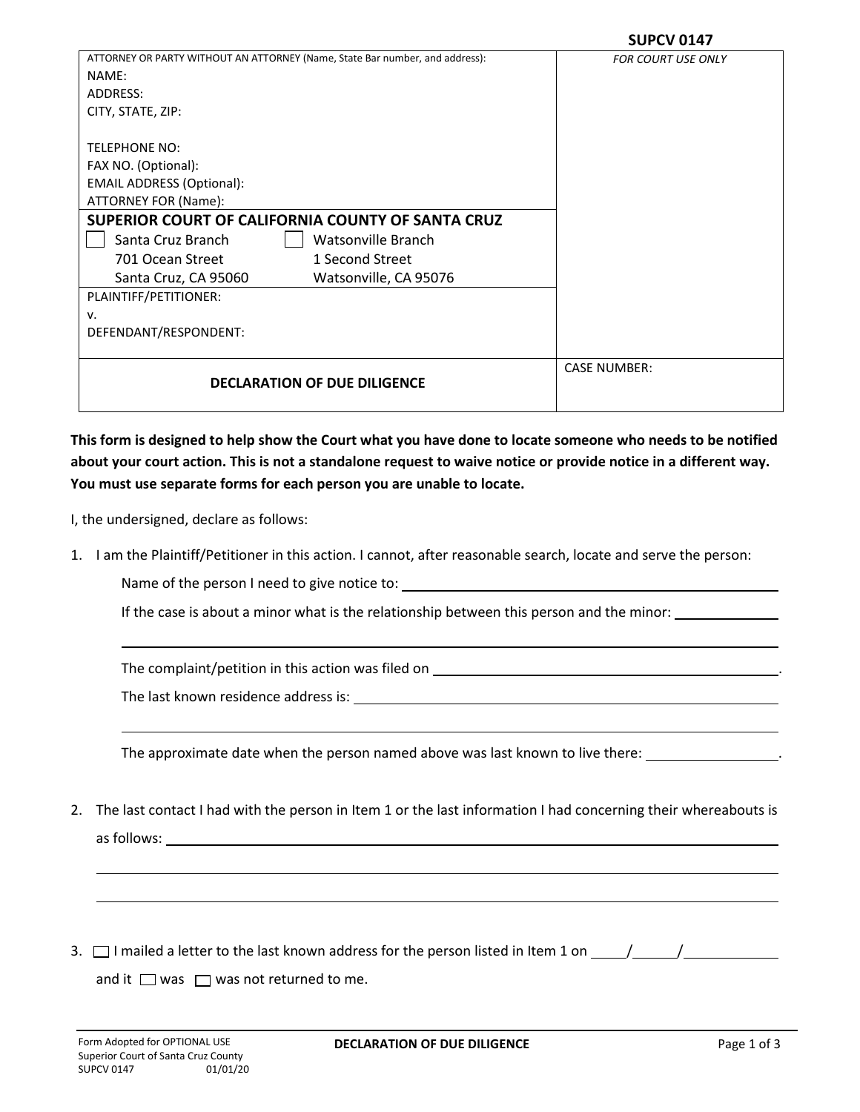| ATTORNEY OR PARTY WITHOUT AN ATTORNEY (Name, State Bar number, and address): | <b>FOR COURT USE ONLY</b> |
|------------------------------------------------------------------------------|---------------------------|
| NAME:                                                                        |                           |
| ADDRESS:                                                                     |                           |
| CITY, STATE, ZIP:                                                            |                           |
|                                                                              |                           |
| <b>TELEPHONE NO:</b>                                                         |                           |
| FAX NO. (Optional):                                                          |                           |
| <b>EMAIL ADDRESS (Optional):</b>                                             |                           |
| ATTORNEY FOR (Name):                                                         |                           |
| SUPERIOR COURT OF CALIFORNIA COUNTY OF SANTA CRUZ                            |                           |
| Santa Cruz Branch<br>Watsonville Branch                                      |                           |
| 1 Second Street<br>701 Ocean Street                                          |                           |
| Watsonville, CA 95076<br>Santa Cruz, CA 95060                                |                           |
| PLAINTIFF/PETITIONER:                                                        |                           |
| v.                                                                           |                           |
| DEFENDANT/RESPONDENT:                                                        |                           |
|                                                                              |                           |
|                                                                              | <b>CASE NUMBER:</b>       |
| <b>DECLARATION OF DUE DILIGENCE</b>                                          |                           |
|                                                                              |                           |

**This form is designed to help show the Court what you have done to locate someone who needs to be notified about your court action. This is not a standalone request to waive notice or provide notice in a different way. You must use separate forms for each person you are unable to locate.**

I, the undersigned, declare as follows:

1. I am the Plaintiff/Petitioner in this action. I cannot, after reasonable search, locate and serve the person:

Name of the person I need to give notice to:

If the case is about a minor what is the relationship between this person and the minor:

The complaint/petition in this action was filed on .

The last known residence address is:

The approximate date when the person named above was last known to live there:

- 2. The last contact I had with the person in Item 1 or the last information I had concerning their whereabouts is as follows:
- 3.  $\Box$  I mailed a letter to the last known address for the person listed in Item 1 on  $\Box$

and it  $\Box$  was  $\Box$  was not returned to me.

 $\mathbb{R}^n$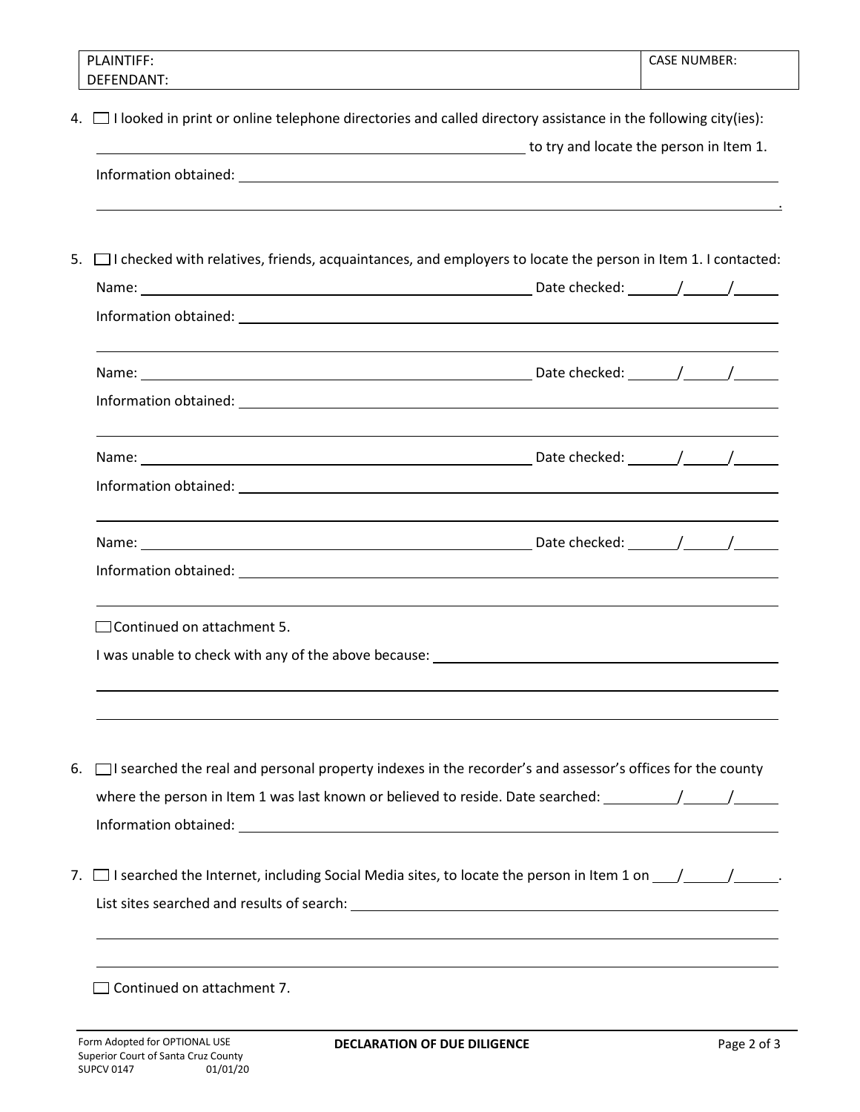| <b>PLAINTIFF:</b><br>DEFENDANT:                                                                                        |                                         | <b>CASE NUMBER:</b> |  |
|------------------------------------------------------------------------------------------------------------------------|-----------------------------------------|---------------------|--|
| 4. I looked in print or online telephone directories and called directory assistance in the following city(ies):       |                                         |                     |  |
|                                                                                                                        | to try and locate the person in Item 1. |                     |  |
|                                                                                                                        |                                         |                     |  |
|                                                                                                                        |                                         |                     |  |
| 5. I checked with relatives, friends, acquaintances, and employers to locate the person in Item 1. I contacted:        |                                         |                     |  |
|                                                                                                                        |                                         |                     |  |
|                                                                                                                        |                                         |                     |  |
|                                                                                                                        |                                         |                     |  |
|                                                                                                                        |                                         |                     |  |
|                                                                                                                        |                                         |                     |  |
|                                                                                                                        |                                         |                     |  |
|                                                                                                                        |                                         |                     |  |
| $\Box$ Continued on attachment 5.                                                                                      |                                         |                     |  |
|                                                                                                                        |                                         |                     |  |
|                                                                                                                        |                                         |                     |  |
| $\Box$ I searched the real and personal property indexes in the recorder's and assessor's offices for the county<br>6. |                                         |                     |  |
|                                                                                                                        |                                         |                     |  |
|                                                                                                                        |                                         |                     |  |
| 7. $\Box$ I searched the Internet, including Social Media sites, to locate the person in Item 1 on $\Box/\Box$         |                                         |                     |  |
|                                                                                                                        |                                         |                     |  |
|                                                                                                                        |                                         |                     |  |
| Continued on attachment 7.                                                                                             |                                         |                     |  |
|                                                                                                                        |                                         |                     |  |